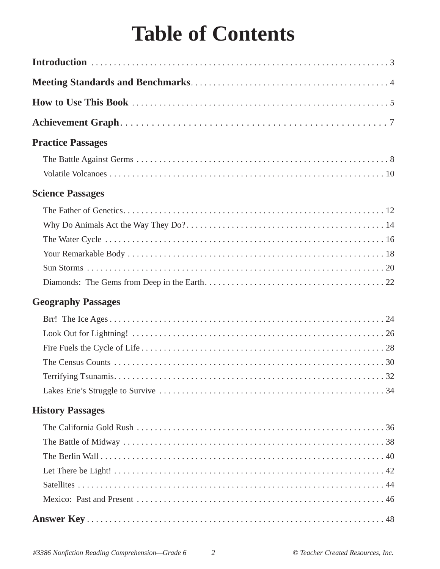# **Table of Contents**

| <b>Practice Passages</b>  |                    |
|---------------------------|--------------------|
|                           |                    |
| <b>Science Passages</b>   |                    |
| <b>Geography Passages</b> | $\ldots \ldots 32$ |
| <b>History Passages</b>   |                    |
|                           |                    |
|                           |                    |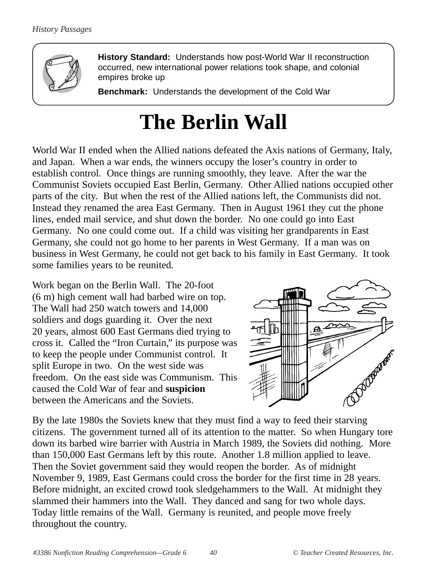

**History Standard:** Understands how post-World War II reconstruction occurred, new international power relations took shape, and colonial empires broke up

**Benchmark:** Understands the development of the Cold War

## **The Berlin Wall**

World War II ended when the Allied nations defeated the Axis nations of Germany, Italy, and Japan. When a war ends, the winners occupy the loser's country in order to establish control. Once things are running smoothly, they leave. After the war the Communist Soviets occupied East Berlin, Germany. Other Allied nations occupied other parts of the city. But when the rest of the Allied nations left, the Communists did not. Instead they renamed the area East Germany. Then in August 1961 they cut the phone lines, ended mail service, and shut down the border. No one could go into East Germany. No one could come out. If a child was visiting her grandparents in East Germany, she could not go home to her parents in West Germany. If a man was on business in West Germany, he could not get back to his family in East Germany. It took some families years to be reunited.

Work began on the Berlin Wall. The 20-foot (6 m) high cement wall had barbed wire on top. The Wall had 250 watch towers and 14,000 soldiers and dogs guarding it. Over the next 20 years, almost 600 East Germans died trying to cross it. Called the "Iron Curtain," its purpose was to keep the people under Communist control. It split Europe in two. On the west side was freedom. On the east side was Communism. This caused the Cold War of fear and **suspicion** between the Americans and the Soviets.



By the late 1980s the Soviets knew that they must find a way to feed their starving citizens. The government turned all of its attention to the matter. So when Hungary tore down its barbed wire barrier with Austria in March 1989, the Soviets did nothing. More than 150,000 East Germans left by this route. Another 1.8 million applied to leave. Then the Soviet government said they would reopen the border. As of midnight November 9, 1989, East Germans could cross the border for the first time in 28 years. Before midnight, an excited crowd took sledgehammers to the Wall. At midnight they slammed their hammers into the Wall. They danced and sang for two whole days. Today little remains of the Wall. Germany is reunited, and people move freely throughout the country.